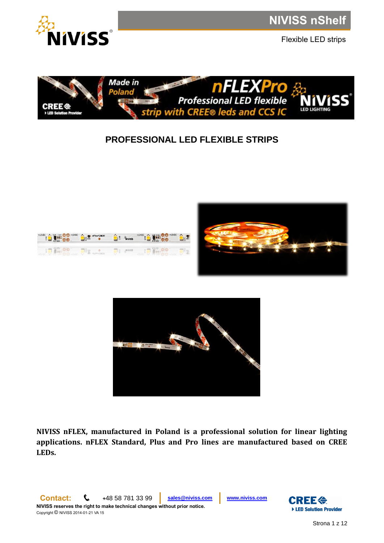

Flexible LED strips



# **PROFESSIONAL LED FLEXIBLE STRIPS**







**NIVISS nFLEX, manufactured in Poland is a professional solution for linear lighting applications. nFLEX Standard, Plus and Pro lines are manufactured based on CREE LEDs.** 

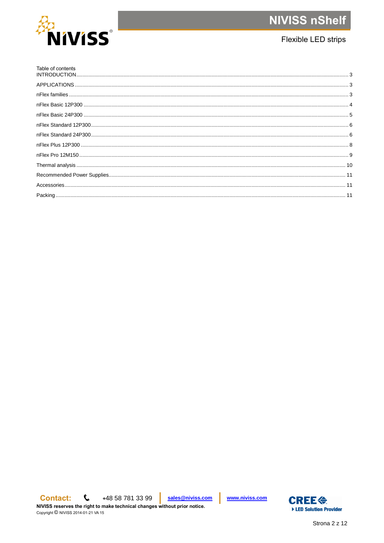

# Flexible LED strips

 $\mathbf{C}$  $+48587813399$ sales@niviss.com **Contact:** 

NIVISS reserves the right to make technical changes without prior notice. Copyright © NIVISS 2014-01-21 VA 15

www.niviss.com

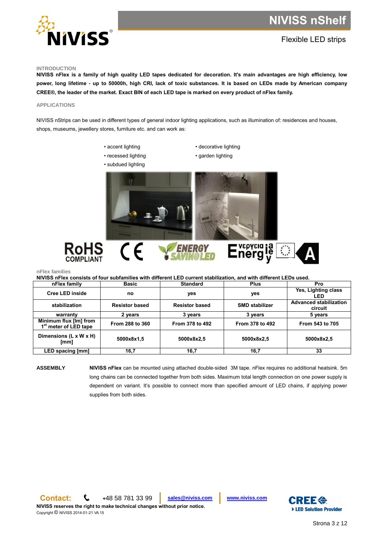

# Flexible LED strips

### <span id="page-2-0"></span>**INTRODUCTION**

**NIVISS nFlex is a family of high quality LED tapes dedicated for decoration. It's main advantages are high efficiency, low power, long lifetime - up to 50000h, high CRI, lack of toxic substances. It is based on LEDs made by American company CREE®, the leader of the market. Exact BIN of each LED tape is marked on every product of nFlex family.**

### <span id="page-2-1"></span>**APPLICATIONS**

NIVISS nStrips can be used in different types of general indoor lighting applications, such as illumination of: residences and houses, shops, museums, jewellery stores, furniture etc. and can work as:

- accent lighting
- recessed lighting
- subdued lighting
- decorative lighting
- garden lighting



## Energie  $\stackrel{\star}{\tilde{\star}}^{\star\star\star}_{\star\star}$ HS **COMPLIANT**

<span id="page-2-2"></span>**nFlex families**

**NIVISS nFlex consists of four subfamilies with different LED current stabilization, and with different LEDs used.**

| nFlex family                                                | <b>Basic</b>          | <b>Standard</b>       | <b>Plus</b>           | Pro                                      |
|-------------------------------------------------------------|-----------------------|-----------------------|-----------------------|------------------------------------------|
| <b>Cree LED inside</b>                                      | no                    | ves                   | yes                   | Yes, Lighting class<br>LED               |
| stabilization                                               | <b>Resistor based</b> | <b>Resistor based</b> | <b>SMD stabilizer</b> | <b>Advanced stabilization</b><br>circuit |
| warranty                                                    | 2 years               | 3 years               | 3 vears               | 5 years                                  |
| Minimum flux [Im] from<br>1 <sup>st</sup> meter of LED tape | From 288 to 360       | From 378 to 492       | From 378 to 492       | From 543 to 705                          |
| Dimensions (L x W x H)<br>[mm]                              | 5000x8x1,5            | 5000x8x2.5            | 5000x8x2.5            | 5000x8x2.5                               |
| LED spacing [mm]                                            | 16,7                  | 16,7                  | 16,7                  | 33                                       |

**ASSEMBLY NIVISS nFlex** can be mounted using attached double-sided 3M tape. nFlex requires no additional heatsink. 5m long chains can be connected together from both sides. Maximum total length connection on one power supply is dependent on variant. It's possible to connect more than specified amount of LED chains, if applying power supplies from both sides.

**Contact: <sup>+</sup>**48 58 781 33 99 **[sales@niviss.com](mailto:sales@niviss.com) [www.niviss.com](http://www.niviss.com/) NIVISS reserves the right to make technical changes without prior notice.**

Copyright © NIVISS 2014-01-21 VA 15

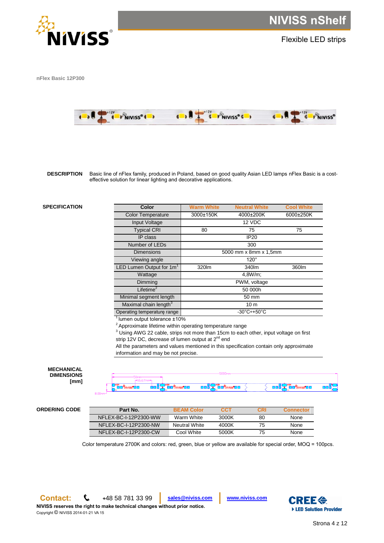

Flexible LED strips

<span id="page-3-0"></span>**nFlex Basic 12P300**



**DESCRIPTION** Basic line of nFlex family, produced in Poland, based on good quality Asian LED lamps nFlex Basic is a costeffective solution for linear lighting and decorative applications.

# **SPECIFICATION Color Warm White Neutral White Cool White**

| Color                                | <b>Warm White</b>               | <b>Neutral White</b> | <b>Cool White</b> |  |  |
|--------------------------------------|---------------------------------|----------------------|-------------------|--|--|
| <b>Color Temperature</b>             | 3000±150K                       | 4000±200K            | 6000±250K         |  |  |
| Input Voltage                        |                                 | 12 VDC               |                   |  |  |
| <b>Typical CRI</b>                   | 80                              | 75                   | 75                |  |  |
| IP class                             |                                 | <b>IP20</b>          |                   |  |  |
| Number of LEDs                       |                                 | 300                  |                   |  |  |
| <b>Dimensions</b>                    | 5000 mm x 8mm x 1,5mm           |                      |                   |  |  |
| Viewing angle                        | $120^\circ$                     |                      |                   |  |  |
| LED Lumen Output for 1m <sup>1</sup> | 320lm<br>340lm<br>360lm         |                      |                   |  |  |
| Wattage                              | 4,8W/m;                         |                      |                   |  |  |
| Dimming                              | PWM, voltage                    |                      |                   |  |  |
| Lifetime <sup>2</sup>                | 50 000h                         |                      |                   |  |  |
| Minimal segment length               | 50 mm                           |                      |                   |  |  |
| Maximal chain length <sup>3</sup>    | 10 <sub>m</sub>                 |                      |                   |  |  |
| Operating temperature range          | $-30^{\circ}$ C $+50^{\circ}$ C |                      |                   |  |  |
| $11$ lumna output to location 1400/  |                                 |                      |                   |  |  |

<sup>1</sup>lumen output tolerance ±10%

 $2$  Approximate lifetime within operating temperature range

<sup>3</sup> Using AWG 22 cable, strips not more than 15cm to each other, input voltage on first strip 12V DC, decrease of lumen output at 2<sup>nd</sup> end

All the parameters and values mentioned in this specification contain only approximate information and may be not precise.

### **MECHANICAL DIMENSIONS [mm]**

|                                               | JUUUMM                                                  |  |                                  |
|-----------------------------------------------|---------------------------------------------------------|--|----------------------------------|
|                                               |                                                         |  |                                  |
| <b>1012Y</b><br><b>Tenerass<sup>91</sup>1</b> | <b>DOCATAL SANASSED</b><br><b>DOCATALA</b> DO COMPOSTED |  | ░▁▄▄▊ <del>▔</del> ▛▓▆▓▜▊▊▁▁▕▊▆▄ |

# **ORDERING CODE Part No. BEAM Color CCT CRI Connector**

| Part No.              | <b>BEAM Color</b>    | CCT   | CRI | <b>Connector</b> |
|-----------------------|----------------------|-------|-----|------------------|
| NFLEX-BC-I-12P2300-WW | Warm White           | 3000K | 80  | None             |
| NFLEX-BC-I-12P2300-NW | <b>Neutral White</b> | 4000K | 75. | <b>None</b>      |
| NELEX-BC-I-12P2300-CW | Cool White           | 5000K | 75. | <b>None</b>      |

Color temperature 2700K and colors: red, green, blue or yellow are available for special order, MOQ = 100pcs.

Copyright © NIVISS 2014-01-21 VA 15

Ī

**Contact: <sup>+</sup>**48 58 781 33 99 **[sales@niviss.com](mailto:sales@niviss.com) [www.niviss.com](http://www.niviss.com/)**

**NIVISS reserves the right to make technical changes without prior notice.**

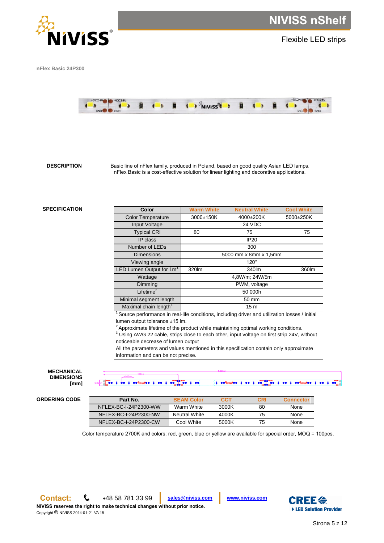

Flexible LED strips

<span id="page-4-0"></span>**nFlex Basic 24P300**



**DESCRIPTION** Basic line of nFlex family, produced in Poland, based on good quality Asian LED lamps. nFlex Basic is a cost-effective solution for linear lighting and decorative applications.

# **SPECIFICATION Color Warm White Neutral White Cool White**

| Color                             | Warm White<br><b>Neutral White</b> |             | <b>Cool White</b> |  |  |
|-----------------------------------|------------------------------------|-------------|-------------------|--|--|
| <b>Color Temperature</b>          | 3000±150K                          | 4000±200K   | 5000±250K         |  |  |
| Input Voltage                     |                                    | 24 VDC      |                   |  |  |
| <b>Typical CRI</b>                | 80                                 | 75          | 75                |  |  |
| IP class                          |                                    | <b>IP20</b> |                   |  |  |
| Number of LEDs                    | 300                                |             |                   |  |  |
| <b>Dimensions</b>                 | 5000 mm x 8mm x 1,5mm              |             |                   |  |  |
| Viewing angle                     | $120^\circ$                        |             |                   |  |  |
| LED Lumen Output for $1m1$        | 320lm                              | 360lm       |                   |  |  |
| Wattage                           | 4,8W/m; 24W/5m                     |             |                   |  |  |
| Dimming                           | PWM, voltage                       |             |                   |  |  |
| Lifetime <sup>2</sup>             | 50 000h                            |             |                   |  |  |
| Minimal segment length            | 50 mm                              |             |                   |  |  |
| Maximal chain length <sup>3</sup> | 15 <sub>m</sub>                    |             |                   |  |  |

 $1$  Source performance in real-life conditions, including driver and utilization losses / initial lumen output tolerance ±15 lm.

 $2$  Approximate lifetime of the product while maintaining optimal working conditions.

<sup>3</sup> Using AWG 22 cable, strips close to each other, input voltage on first strip 24V, without noticeable decrease of lumen output

All the parameters and values mentioned in this specification contain only approximate information and can be not precise.

### **MECHANICAL DIMENSIONS [mm]**

 $\left\{ \begin{array}{ccc} 1 & \text{otherwise} \end{array} \right.$   $\left\{ \begin{array}{ccc} 1 & \text{otherwise} \end{array} \right.$   $\left\{ \begin{array}{ccc} 0 & 1 & \text{otherwise} \end{array} \right.$  $\ddot{\bullet}$  :  $\bullet$  :  $\bullet$ 

**ORDERING CODE Part No. BEAM Color CCT CRI Connector**

| Part No.              | <b>BEAM Color</b>    | CCT   | CRI | <b>Connector</b> |
|-----------------------|----------------------|-------|-----|------------------|
| NFLEX-BC-I-24P2300-WW | Warm White           | 3000K | 80  | <b>None</b>      |
| NFLEX-BC-I-24P2300-NW | <b>Neutral White</b> | 4000K | 75  | None             |
| NFLEX-BC-I-24P2300-CW | Cool White           | 5000K | 75  | None             |

Color temperature 2700K and colors: red, green, blue or yellow are available for special order, MOQ = 100pcs.



Copyright © NIVISS 2014-01-21 VA 15

**Contact: <sup>+</sup>**48 58 781 33 99 **[sales@niviss.com](mailto:sales@niviss.com) [www.niviss.com](http://www.niviss.com/)**

**NIVISS reserves the right to make technical changes without prior notice.**

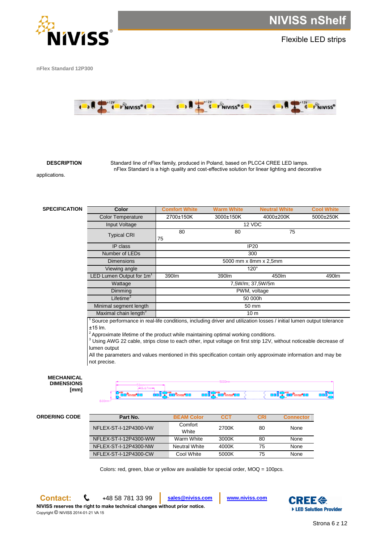

Flexible LED strips

<span id="page-5-0"></span>**nFlex Standard 12P300**



**DESCRIPTION** Standard line of nFlex family, produced in Poland, based on PLCC4 CREE LED lamps. nFlex Standard is a high quality and cost-effective solution for linear lighting and decorative

applications.

| <b>SPECIFICATION</b> | <b>Color</b>                                     | <b>Comfort White</b>                            | <b>Warm White</b>                                          | <b>Neutral White</b> | <b>Cool White</b> |  |
|----------------------|--------------------------------------------------|-------------------------------------------------|------------------------------------------------------------|----------------------|-------------------|--|
|                      | <b>Color Temperature</b>                         | 2700±150K                                       | 3000±150K                                                  | 4000±200K            | 5000±250K         |  |
|                      | Input Voltage                                    |                                                 |                                                            | 12 VDC               |                   |  |
|                      | <b>Typical CRI</b>                               | 80<br>75                                        | 80                                                         | 75                   |                   |  |
|                      | IP class                                         | <b>IP20</b>                                     |                                                            |                      |                   |  |
| Number of LEDs       |                                                  |                                                 |                                                            | 300                  |                   |  |
|                      | <b>Dimensions</b>                                | 5000 mm x 8mm x 2,5mm<br>$120^\circ$            |                                                            |                      |                   |  |
|                      | Viewing angle                                    |                                                 |                                                            |                      |                   |  |
|                      | LED Lumen Output for $1m1$                       | 390lm                                           | 390lm                                                      | 450lm                | 490lm             |  |
|                      | Wattage                                          |                                                 |                                                            | 7,5W/m; 37,5W/5m     |                   |  |
|                      | Dimming                                          |                                                 |                                                            | PWM, voltage         |                   |  |
| Lifetime $2$         |                                                  | 50 000h                                         |                                                            |                      |                   |  |
|                      | Minimal segment length                           | 50 mm                                           |                                                            |                      |                   |  |
|                      | Maximal chain length <sup>3</sup>                |                                                 |                                                            | 10 <sub>m</sub>      |                   |  |
|                      | ╶┑╼<br>$\sim$ $\sim$ $\sim$ $\sim$ $\sim$ $\sim$ | $\cdots$<br>$\cdot$ $\cdot$ $\cdot$ $\cdot$<br> | .<br>$\mathbf{r}$ , and the set of the set of $\mathbf{r}$ |                      | .                 |  |

<sup>1</sup>Source performance in real-life conditions, including driver and utilization losses / initial lumen output tolerance ±15 lm.

 $2$  Approximate lifetime of the product while maintaining optimal working conditions.

<sup>3</sup> Using AWG 22 cable, strips close to each other, input voltage on first strip 12V, without noticeable decrease of lumen output

All the parameters and values mentioned in this specification contain only approximate information and may be not precise.

| <b>MECHANICAL</b>        |                                     | 5000mm                                                              |                   |
|--------------------------|-------------------------------------|---------------------------------------------------------------------|-------------------|
| <b>DIMENSIONS</b><br>mm] | $-16.67$ mm $-$<br>1912V            |                                                                     | +12V              |
|                          | <b>THAT THE</b><br>an <sup>ye</sup> | $7 + 127$<br>mai<br><b>AVISS<sup>S</sup>LIL</b><br><b>MARK TILL</b> | ----------------- |
|                          | 8.00mm                              |                                                                     |                   |

# **ORDERING CODE Part No. BEAM Color CCT CRI Connector**

| Part No.              | <b>BEAM Color</b>    | CCT   | CRI | <b>Connector</b> |
|-----------------------|----------------------|-------|-----|------------------|
| NFLEX-ST-I-12P4300-VW | Comfort<br>White     | 2700K | 80  | None             |
| NFLEX-ST-I-12P4300-WW | Warm White           | 3000K | 80  | None             |
| NFLEX-ST-I-12P4300-NW | <b>Neutral White</b> | 4000K | 75  | None             |
| NFLEX-ST-I-12P4300-CW | Cool White           | 5000K | 75  | None             |

Colors: red, green, blue or yellow are available for special order, MOQ = 100pcs.

Copyright © NIVISS 2014-01-21 VA 15

<span id="page-5-1"></span>**Contact: <sup>+</sup>**48 58 781 33 99 **[sales@niviss.com](mailto:sales@niviss.com) [www.niviss.com](http://www.niviss.com/)**

**NIVISS reserves the right to make technical changes without prior notice.**



viss<sup>6</sup>i i <mark>Li</mark>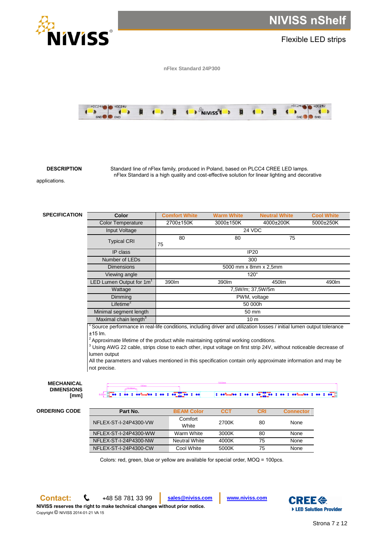

**DESCRIPTION** Standard line of nFlex family, produced in Poland, based on PLCC4 CREE LED lamps. nFlex Standard is a high quality and cost-effective solution for linear lighting and decorative

applications.

**SPECIFICATION** 

| Color                             | <b>Comfort White</b>  | Warm White  | <b>Neutral White</b> | <b>Cool White</b> |  |
|-----------------------------------|-----------------------|-------------|----------------------|-------------------|--|
| <b>Color Temperature</b>          | 2700±150K             | 3000±150K   | 4000±200K            | 5000±250K         |  |
| Input Voltage                     |                       |             | 24 VDC               |                   |  |
| <b>Typical CRI</b>                | 80<br>75              | 80          | 75                   |                   |  |
| IP class                          |                       | <b>IP20</b> |                      |                   |  |
| Number of LEDs                    | 300                   |             |                      |                   |  |
| <b>Dimensions</b>                 | 5000 mm x 8mm x 2,5mm |             |                      |                   |  |
| Viewing angle                     | $120^\circ$           |             |                      |                   |  |
| LED Lumen Output for $1m1$        | 390lm                 | 390lm       | 450lm                | 490m              |  |
| Wattage                           | 7,5W/m; 37,5W/5m      |             |                      |                   |  |
| Dimming                           | PWM, voltage          |             |                      |                   |  |
| Lifetime $^2$                     | 50 000h               |             |                      |                   |  |
| Minimal segment length            | 50 mm                 |             |                      |                   |  |
| Maximal chain length <sup>3</sup> |                       |             | 10 <sub>m</sub>      |                   |  |

<sup>1</sup> Source performance in real-life conditions, including driver and utilization losses / initial lumen output tolerance ±15 lm.

 $2$  Approximate lifetime of the product while maintaining optimal working conditions.

<sup>3</sup> Using AWG 22 cable, strips close to each other, input voltage on first strip 24V, without noticeable decrease of lumen output

All the parameters and values mentioned in this specification contain only approximate information and may be not precise.

### **MECHANICAL DIMENSIONS [mm]**

 $\bullet \bullet \bullet \bullet \bullet \bullet \bullet \bullet \bullet \bullet \bullet \bullet \bullet$ **PO 3 00**  $\frac{1}{2}$  se<sup>8</sup>martes  $\frac{1}{2}$  se  $\frac{1}{2}$  se  $\frac{1}{2}$  se  $\frac{1}{2}$  se<sup>9</sup>martes  $\frac{1}{2}$  se  $\frac{1}{2}$  se  $\frac{1}{2}$ **To** :

| <b>ORDERING CODE</b> |  |
|----------------------|--|
|----------------------|--|

| <b>ORDERING CODE</b> | Part No.              | <b>BEAM Color</b>    | <b>CCT</b> | CRI | <b>Connector</b> |
|----------------------|-----------------------|----------------------|------------|-----|------------------|
|                      | NFLEX-ST-I-24P4300-VW | Comfort<br>White     | 2700K      | 80  | None             |
|                      | NFLEX-ST-I-24P4300-WW | Warm White           | 3000K      | 80  | None             |
|                      | NFLEX-ST-I-24P4300-NW | <b>Neutral White</b> | 4000K      | 75  | None             |
|                      | NFLEX-ST-I-24P4300-CW | Cool White           | 5000K      | 75  | None             |

Colors: red, green, blue or yellow are available for special order, MOQ = 100pcs.

**Contact: <sup>+</sup>**48 58 781 33 99 **[sales@niviss.com](mailto:sales@niviss.com) [www.niviss.com](http://www.niviss.com/)**

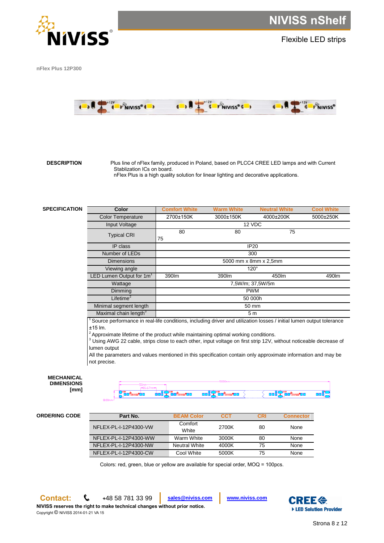

Flexible LED strips

<span id="page-7-0"></span>**nFlex Plus 12P300**



 **DESCRIPTION** Plus line of nFlex family, produced in Poland, based on PLCC4 CREE LED lamps and with Current Stablization ICs on board. nFlex Plus is a high quality solution for linear lighting and decorative applications.

**SPECIFICATION** 

| <b>Color</b>                         | <b>Comfort White</b>  | <b>Warm White</b> | <b>Neutral White</b> | <b>Cool White</b> |  |
|--------------------------------------|-----------------------|-------------------|----------------------|-------------------|--|
| <b>Color Temperature</b>             | 2700±150K             | 3000±150K         | 4000±200K            | 5000±250K         |  |
| Input Voltage                        | 12 VDC                |                   |                      |                   |  |
| <b>Typical CRI</b>                   | 80<br>75              | 80                | 75                   |                   |  |
| IP class                             |                       |                   | <b>IP20</b>          |                   |  |
| Number of LEDs                       | 300                   |                   |                      |                   |  |
| <b>Dimensions</b>                    | 5000 mm x 8mm x 2,5mm |                   |                      |                   |  |
| Viewing angle                        | $120^\circ$           |                   |                      |                   |  |
| LED Lumen Output for 1m <sup>1</sup> | 390lm                 | 390lm<br>450lm    |                      | 490m              |  |
| Wattage                              | 7,5W/m; 37,5W/5m      |                   |                      |                   |  |
| <b>Dimming</b>                       | <b>PWM</b>            |                   |                      |                   |  |
| Lifetime $^2$                        | 50 000h               |                   |                      |                   |  |
| Minimal segment length               |                       |                   | 50 mm                |                   |  |
| Maximal chain length <sup>3</sup>    |                       |                   | 5 <sub>m</sub>       |                   |  |

 $1$ Source performance in real-life conditions, including driver and utilization losses / initial lumen output tolerance ±15 lm.

 $2$  Approximate lifetime of the product while maintaining optimal working conditions.

<sup>3</sup> Using AWG 22 cable, strips close to each other, input voltage on first strip 12V, without noticeable decrease of lumen output

All the parameters and values mentioned in this specification contain only approximate information and may be not precise.

| <b>MECHANICAL</b> |
|-------------------|
| <b>DIMENSIONS</b> |
| [mm]              |

**[mm]**



## **ORDERING CODE Part No. BEAM Color CCT CRI Connector**

| Part No.              | <b>BEAM Color</b>    | CCT   | CRI | <b>Connector</b> |
|-----------------------|----------------------|-------|-----|------------------|
| NFLEX-PL-I-12P4300-VW | Comfort<br>White     | 2700K | 80  | None             |
| NFLEX-PL-I-12P4300-WW | Warm White           | 3000K | 80  | None             |
| NFLEX-PL-I-12P4300-NW | <b>Neutral White</b> | 4000K | 75  | None             |
| NFLEX-PL-I-12P4300-CW | Cool White           | 5000K | 75  | None             |

Colors: red, green, blue or yellow are available for special order, MOQ = 100pcs.

Copyright © NIVISS 2014-01-21 VA 15

**Contact: <sup>+</sup>**48 58 781 33 99 **[sales@niviss.com](mailto:sales@niviss.com) [www.niviss.com](http://www.niviss.com/)**

**NIVISS reserves the right to make technical changes without prior notice.**

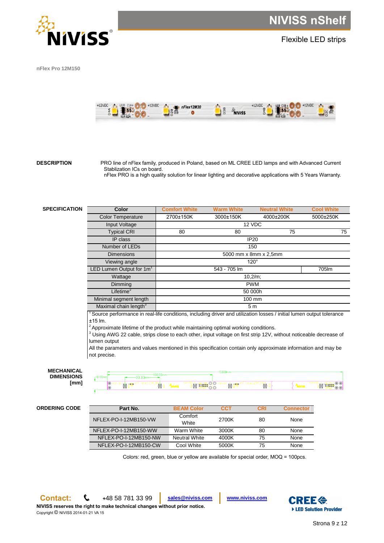

Flexible LED strips

<span id="page-8-0"></span>**nFlex Pro 12M150**



**DESCRIPTION** PRO line of nFlex family, produced in Poland, based on ML CREE LED lamps and with Advanced Current Stablization ICs on board. nFlex PRO is a high quality solution for linear lighting and decorative applications with 5 Years Warranty.

# **SPECIFICATION**

| Color                                | <b>Comfort white</b>  | warm wnite   | Neutral white  | <b>COOI WHITE</b> |  |
|--------------------------------------|-----------------------|--------------|----------------|-------------------|--|
| <b>Color Temperature</b>             | 2700±150K             | 3000±150K    | 4000±200K      | 5000±250K         |  |
| Input Voltage                        | 12 VDC                |              |                |                   |  |
| <b>Typical CRI</b>                   | 80                    | 80           | 75             | 75                |  |
| IP class                             | <b>IP20</b>           |              |                |                   |  |
| Number of LEDs                       | 150                   |              |                |                   |  |
| <b>Dimensions</b>                    | 5000 mm x 8mm x 2,5mm |              |                |                   |  |
| Viewing angle                        | $120^\circ$           |              |                |                   |  |
| LED Lumen Output for 1m <sup>1</sup> |                       | 543 - 705 lm |                | 705lm             |  |
| Wattage                              |                       |              | $10,2/m$ ;     |                   |  |
| Dimming                              | <b>PWM</b>            |              |                |                   |  |
| Lifetime <sup>2</sup>                | 50 000h               |              |                |                   |  |
| Minimal segment length               |                       | 100 mm       |                |                   |  |
| Maximal chain length <sup>3</sup>    |                       |              | 5 <sub>m</sub> |                   |  |

<sup>1</sup> Source performance in real-life conditions, including driver and utilization losses / initial lumen output tolerance ±15 lm.

 $2\lambda$  Approximate lifetime of the product while maintaining optimal working conditions.

<sup>3</sup> Using AWG 22 cable, strips close to each other, input voltage on first strip 12V, without noticeable decrease of lumen output

All the parameters and values mentioned in this specification contain only approximate information and may be not precise.



P

| 3.00 <sub>mm</sub> |                                                                                                                |                                                                             |  |
|--------------------|----------------------------------------------------------------------------------------------------------------|-----------------------------------------------------------------------------|--|
|                    | io alta i<br>→ of text2M3U <mark>1</mark> & A <mark>riniss = x<del>&gt;</del> -</mark><br>$\overline{\bullet}$ | $\frac{100 \text{ A}}{8 \text{ A}} = \frac{100 \text{ A}}{2 \text{ A}} = 0$ |  |

# **ORDERING CODE Part No. BEAM Color CCT CRI Connector**

| Part No.              | <b>BEAM Color</b>    | <b>CCT</b> | CRI | <b>Connector</b> |
|-----------------------|----------------------|------------|-----|------------------|
| NFLEX-PO-I-12MB150-VW | Comfort<br>White     | 2700K      | 80  | None             |
| NFLEX-PO-I-12MB150-WW | Warm White           | 3000K      | 80  | None             |
| NFLEX-PO-I-12MB150-NW | <b>Neutral White</b> | 4000K      | 75  | None             |
| NFLEX-PO-I-12MB150-CW | Cool White           | 5000K      | 75  | None             |

Colors: red, green, blue or yellow are available for special order, MOQ = 100pcs.

**Contact: <sup>+</sup>**48 58 781 33 99 **[sales@niviss.com](mailto:sales@niviss.com) [www.niviss.com](http://www.niviss.com/)**



e tso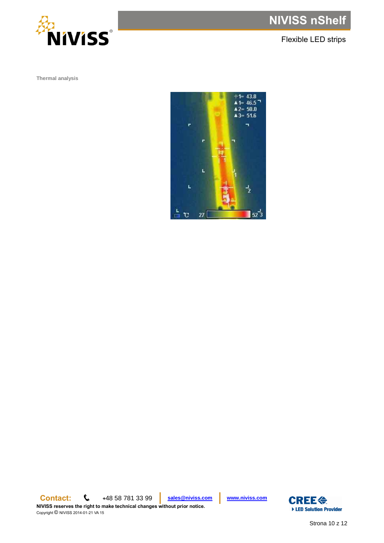

Flexible LED strips

<span id="page-9-0"></span>**Thermal analysis**



**Contact: <sup>+</sup>**48 58 781 33 99 **[sales@niviss.com](mailto:sales@niviss.com) [www.niviss.com](http://www.niviss.com/) NIVISS reserves the right to make technical changes without prior notice.**

Copyright © NIVISS 2014-01-21 VA 15

**CREE会** ▶ LED Solution Provider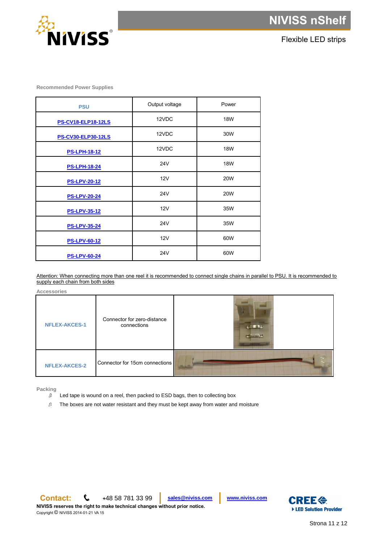



Flexible LED strips

<span id="page-10-0"></span>**Recommended Power Supplies**

| <b>PSU</b>                | Output voltage | Power      |
|---------------------------|----------------|------------|
| <b>PS-CV18-ELP18-12LS</b> | 12VDC          | <b>18W</b> |
| <b>PS-CV30-ELP30-12LS</b> | 12VDC          | 30W        |
| <b>PS-LPH-18-12</b>       | 12VDC          | <b>18W</b> |
| <b>PS-LPH-18-24</b>       | <b>24V</b>     | <b>18W</b> |
| <b>PS-LPV-20-12</b>       | 12V            | <b>20W</b> |
| <b>PS-LPV-20-24</b>       | <b>24V</b>     | <b>20W</b> |
| <b>PS-LPV-35-12</b>       | 12V            | 35W        |
| <b>PS-LPV-35-24</b>       | <b>24V</b>     | 35W        |
| <b>PS-LPV-60-12</b>       | 12V            | 60W        |
| <b>PS-LPV-60-24</b>       | 24V            | 60W        |

Attention: When connecting more than one reel it is recommended to connect single chains in parallel to PSU. It is recommended to supply each chain from both sides

<span id="page-10-1"></span>**Accessories**

| <b>NFLEX-AKCES-1</b> | Connector for zero-distance<br>connections | <b>BIOTOR</b><br><b>IPS</b> |
|----------------------|--------------------------------------------|-----------------------------|
| <b>NFLEX-AKCES-2</b> | Connector for 15cm connections             |                             |

<span id="page-10-2"></span>**Packing**

Led tape is wound on a reel, then packed to ESD bags, then to collecting box

 $\mathcal{B}^{\mathbb{Z}}$ The boxes are not water resistant and they must be kept away from water and moisture